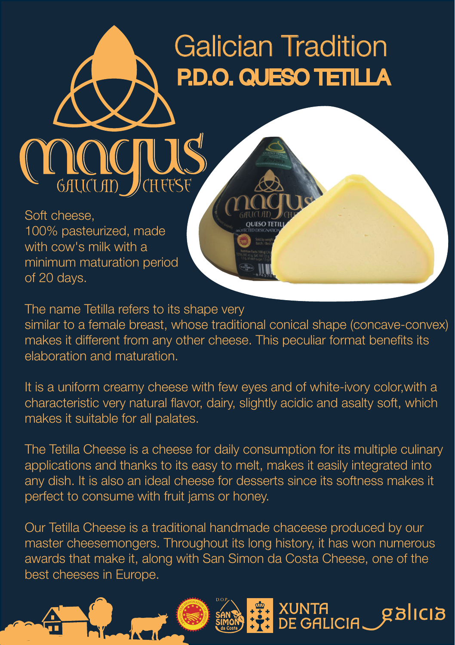## Galician Tradition P.D.O. QUESO TETILLA

Soft cheese, 100% pasteurized, made with cow's milk with a minimum maturation period of 20 days.

The name Tetilla refers to its shape very similar to a female breast, whose traditional conical shape (concave-convex) makes it different from any other cheese. This peculiar format benefits its elaboration and maturation.

It is a uniform creamy cheese with few eyes and of white-ivory color,with a characteristic very natural flavor, dairy, slightly acidic and asalty soft, which makes it suitable for all palates.

The Tetilla Cheese is a cheese for daily consumption for its multiple culinary applications and thanks to its easy to melt, makes it easily integrated into any dish. It is also an ideal cheese for desserts since its softness makes it perfect to consume with fruit jams or honey.

Our Tetilla Cheese is a traditional handmade chaceese produced by our master cheesemongers. Throughout its long history, it has won numerous awards that make it, along with San Simon da Costa Cheese, one of the best cheeses in Europe.

XUNTA<br>DE GALICIA.